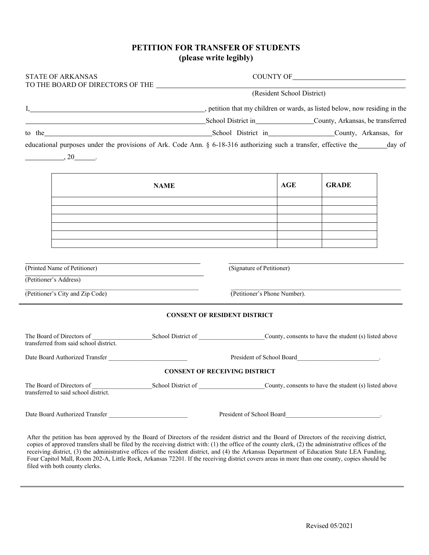## **PETITION FOR TRANSFER OF STUDENTS (please write legibly)**

| <b>STATE OF ARKANSAS</b>                                                                                                                        |                                                                          |                                                                                                                                                                                                                                            |              |  |  |  |
|-------------------------------------------------------------------------------------------------------------------------------------------------|--------------------------------------------------------------------------|--------------------------------------------------------------------------------------------------------------------------------------------------------------------------------------------------------------------------------------------|--------------|--|--|--|
|                                                                                                                                                 |                                                                          | (Resident School District)                                                                                                                                                                                                                 |              |  |  |  |
| I, etition that my children or wards, as listed below, now residing in the                                                                      |                                                                          |                                                                                                                                                                                                                                            |              |  |  |  |
|                                                                                                                                                 |                                                                          | School District in County, Arkansas, be transferred                                                                                                                                                                                        |              |  |  |  |
| to the County, Arkansas, for                                                                                                                    |                                                                          |                                                                                                                                                                                                                                            |              |  |  |  |
| educational purposes under the provisions of Ark. Code Ann. § 6-18-316 authorizing such a transfer, effective the day of<br>$\frac{1}{20}$ , 20 |                                                                          |                                                                                                                                                                                                                                            |              |  |  |  |
|                                                                                                                                                 | <b>NAME</b>                                                              | AGE                                                                                                                                                                                                                                        | <b>GRADE</b> |  |  |  |
|                                                                                                                                                 |                                                                          |                                                                                                                                                                                                                                            |              |  |  |  |
|                                                                                                                                                 |                                                                          |                                                                                                                                                                                                                                            |              |  |  |  |
|                                                                                                                                                 |                                                                          |                                                                                                                                                                                                                                            |              |  |  |  |
|                                                                                                                                                 |                                                                          |                                                                                                                                                                                                                                            |              |  |  |  |
|                                                                                                                                                 |                                                                          |                                                                                                                                                                                                                                            |              |  |  |  |
|                                                                                                                                                 |                                                                          |                                                                                                                                                                                                                                            |              |  |  |  |
| (Printed Name of Petitioner)<br>(Petitioner's Address)                                                                                          |                                                                          | (Signature of Petitioner)                                                                                                                                                                                                                  |              |  |  |  |
| (Petitioner's City and Zip Code)                                                                                                                |                                                                          | (Petitioner's Phone Number).                                                                                                                                                                                                               |              |  |  |  |
|                                                                                                                                                 | <b>CONSENT OF RESIDENT DISTRICT</b>                                      |                                                                                                                                                                                                                                            |              |  |  |  |
| transferred from said school district.                                                                                                          |                                                                          |                                                                                                                                                                                                                                            |              |  |  |  |
| Date Board Authorized Transfer                                                                                                                  |                                                                          | President of School Board<br>The Manus Contract of School Board<br>The Manus Contract of School Board<br>The Manus Contract of School Board<br>The Manus Contract of School Board<br>The Manus Contract of School Board<br>The Manus Contr |              |  |  |  |
|                                                                                                                                                 | <b>CONSENT OF RECEIVING DISTRICT</b>                                     |                                                                                                                                                                                                                                            |              |  |  |  |
| The Board of Directors of<br>transferred to said school district.                                                                               | School District of County, consents to have the student (s) listed above |                                                                                                                                                                                                                                            |              |  |  |  |

After the petition has been approved by the Board of Directors of the resident district and the Board of Directors of the receiving district, copies of approved transfers shall be filed by the receiving district with: (1) the office of the county clerk, (2) the administrative offices of the receiving district, (3) the administrative offices of the resident district, and (4) the Arkansas Department of Education State LEA Funding, Four Capitol Mall, Room 202-A, Little Rock, Arkansas 72201. If the receiving district covers areas in more than one county, copies should be filed with both county clerks.